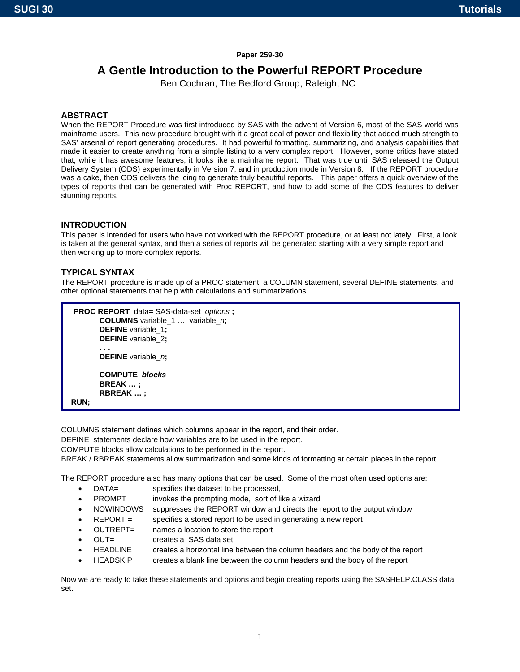#### **Paper 259-30**

# **A Gentle Introduction to the Powerful REPORT Procedure**

Ben Cochran, The Bedford Group, Raleigh, NC

### **ABSTRACT**

When the REPORT Procedure was first introduced by SAS with the advent of Version 6, most of the SAS world was mainframe users. This new procedure brought with it a great deal of power and flexibility that added much strength to SAS' arsenal of report generating procedures. It had powerful formatting, summarizing, and analysis capabilities that made it easier to create anything from a simple listing to a very complex report. However, some critics have stated that, while it has awesome features, it looks like a mainframe report. That was true until SAS released the Output Delivery System (ODS) experimentally in Version 7, and in production mode in Version 8. If the REPORT procedure was a cake, then ODS delivers the icing to generate truly beautiful reports. This paper offers a quick overview of the types of reports that can be generated with Proc REPORT, and how to add some of the ODS features to deliver stunning reports.

#### **INTRODUCTION**

This paper is intended for users who have not worked with the REPORT procedure, or at least not lately. First, a look is taken at the general syntax, and then a series of reports will be generated starting with a very simple report and then working up to more complex reports.

#### **TYPICAL SYNTAX**

The REPORT procedure is made up of a PROC statement, a COLUMN statement, several DEFINE statements, and other optional statements that help with calculations and summarizations.

```
PROC REPORT data= SAS-data-set options ; 
        COLUMNS variable_1 …. variable_n; 
         DEFINE variable_1; 
        DEFINE variable_2; 
 . . . 
        DEFINE variable_n; 
        COMPUTE blocks 
        BREAK … ; 
        RBREAK … ; 
 RUN;
```
COLUMNS statement defines which columns appear in the report, and their order.

DEFINE statements declare how variables are to be used in the report.

COMPUTE blocks allow calculations to be performed in the report.

BREAK / RBREAK statements allow summarization and some kinds of formatting at certain places in the report.

The REPORT procedure also has many options that can be used. Some of the most often used options are:

- DATA= specifies the dataset to be processed.
- PROMPT invokes the prompting mode, sort of like a wizard
- NOWINDOWS suppresses the REPORT window and directs the report to the output window
- REPORT = specifies a stored report to be used in generating a new report
- OUTREPT= names a location to store the report
- OUT= creates a SAS data set
- HEADLINE creates a horizontal line between the column headers and the body of the report
- HEADSKIP creates a blank line between the column headers and the body of the report

Now we are ready to take these statements and options and begin creating reports using the SASHELP.CLASS data set.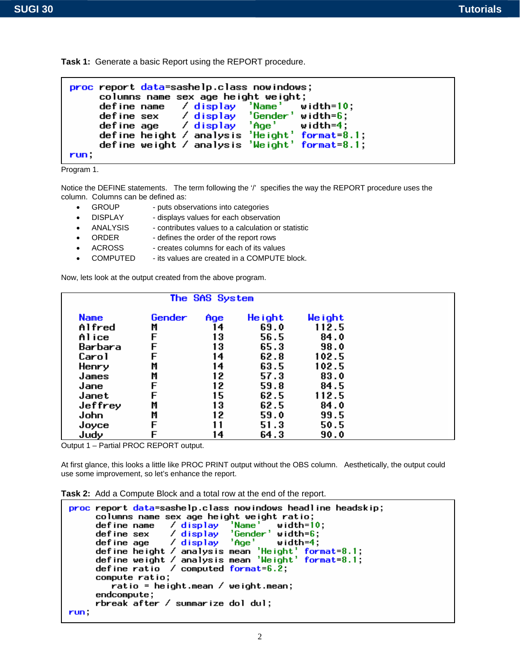**Task 1:** Generate a basic Report using the REPORT procedure.

```
proc report data=sashelp.class nowindows;
     columns name sex age height weight;
     define name
                    \angle display
                                 'Name'
                                           width=10;
                    / display
                                 'Gender'
     define sex
                                          width = 6:
                    \overline{7} display
                                 'Age'
     define age
                                           width=4;define height / analysis 'Height'
                                           format=8.1;
     define weight / analysis 'Weight' format=8.1;
run.
```
Program 1.

Notice the DEFINE statements. The term following the '/' specifies the way the REPORT procedure uses the column. Columns can be defined as:

- GROUP puts observations into categories
- DISPLAY displays values for each observation
- ANALYSIS contributes values to a calculation or statistic
- ORDER defines the order of the report rows
- ACROSS creates columns for each of its values
- COMPUTED its values are created in a COMPUTE block.

Now, lets look at the output created from the above program.

|             |        | The SAS System |         |         |  |
|-------------|--------|----------------|---------|---------|--|
| <b>Name</b> | Gender | Age            | He ight | We ight |  |
| Alfred      | M      | 14             | 69.0    | 112.5   |  |
| Alice       | F      | 13             | 56.5    | 84.0    |  |
| Barbara     |        | 13             | 65.3    | 98.0    |  |
| Carol       |        | 14             | 62.8    | 102.5   |  |
| Henry       | M      | 14             | 63.5    | 102.5   |  |
| James       | M      | 12             | 57.3    | 83.0    |  |
| Jane        | F      | 12             | 59.8    | 84.5    |  |
| Janet       |        | 15             | 62.5    | 112.5   |  |
| Jeffrey     | M      | 13             | 62.5    | 84.0    |  |
| John        | M      | 12             | 59.0    | 99.5    |  |
| Joyce       | F      | 11             | 51.3    | 50.5    |  |
| Judy        |        | 14             | 64.3    | 90.0    |  |

Output 1 – Partial PROC REPORT output.

At first glance, this looks a little like PROC PRINT output without the OBS column. Aesthetically, the output could use some improvement, so let's enhance the report.

**Task 2:** Add a Compute Block and a total row at the end of the report.

```
proc report data=sashelp.class nowindows headline headskip;
       columns name sex age height weight ratio;
       define name
                           \angle display
                                            'Name'
                                                        width=10:
                                            "Gender' width=6;/ display
       define sex
       define age / display 'Age' width=4;<br>define height / analysis mean 'Height' format=8.1;<br>define weight / analysis mean 'Height' format=8.1;<br>define ratio / computed format=6.2;
       compute ratio;
           ratio = height.mean / weight.mean;
       endcompute;
       rbreak after / summarize dol dul;
run,
```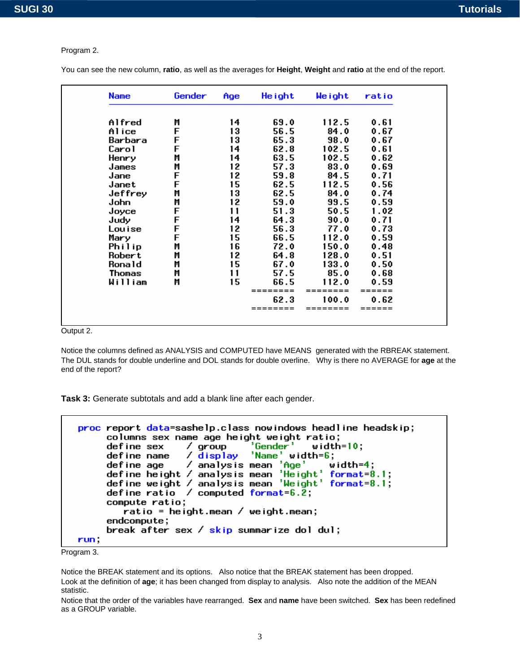#### Program 2.

You can see the new column, **ratio**, as well as the averages for **Height**, **Weight** and **ratio** at the end of the report.

| <b>Name</b> | Gender | Age | He ight  | Weight | ratio |
|-------------|--------|-----|----------|--------|-------|
| Alfred      | M      | 14  | 69.0     | 112.5  | 0.61  |
| Alice       | F      | 13  | 56.5     | 84.0   | 0.67  |
| Barbara     | F      | 13  | 65.3     | 98.0   | 0.67  |
| Carol       | F      | 14  | 62.8     | 102.5  | 0.61  |
| Henry       | Μ      | 14  | 63.5     | 102.5  | 0.62  |
| James       | M      | 12  | 57.3     | 83.0   | 0.69  |
| Jane        | F      | 12  | 59.8     | 84.5   | 0.71  |
| Janet       | F      | 15  | 62.5     | 112.5  | 0.56  |
| Jeffrey     | M      | 13  | 62.5     | 84.0   | 0.74  |
| John        | M      | 12  | 59.0     | 99.5   | 0.59  |
| Joyce       | F      | 11  | 51.3     | 50.5   | 1.02  |
| Judy        | F      | 14  | 64.3     | 90.0   | 0.71  |
| Louise      | F      | 12  | 56.3     | 77.0   | 0.73  |
| Mary        | F      | 15  | 66.5     | 112.0  | 0.59  |
| Philip      | M      | 16  | 72.0     | 150.0  | 0.48  |
| Robert      | M      | 12  | 64.8     | 128.0  | 0.51  |
| Ronald      | M      | 15  | 67.0     | 133.0  | 0.50  |
| Thomas      | M      | 11  | 57.5     | 85.0   | 0.68  |
| William     | Μ      | 15  | 66.5     | 112.0  | 0.59  |
|             |        |     | ======== |        | ====  |
|             |        |     | 62.3     | 100.0  | 0.62  |
|             |        |     | ======== |        |       |

Output 2.

Notice the columns defined as ANALYSIS and COMPUTED have MEANS generated with the RBREAK statement. The DUL stands for double underline and DOL stands for double overline. Why is there no AVERAGE for **age** at the end of the report?

**Task 3:** Generate subtotals and add a blank line after each gender.

```
proc report data=sashelp.class nowindows headline headskip;
        columns sex name age height weight ratio;
                                / group<br>/ <mark>display</mark>
                                                    'Gender'
        define sex
                                                                       width=10:
        define sex / group 'Gender' width=10;<br>define name / display 'Name' width=6;<br>define age / analysis mean 'Age' width=4;<br>define height / analysis mean 'Height' format=8.1;<br>define weight / analysis mean 'Weight' format=8.1;<br>d
        compute ratio;
             ratio = height.mean / weight.mean;
        endcompute;
        break after sex / skip summarize dol dul;
run.
```


Notice the BREAK statement and its options. Also notice that the BREAK statement has been dropped. Look at the definition of **age**; it has been changed from display to analysis. Also note the addition of the MEAN statistic.

Notice that the order of the variables have rearranged. **Sex** and **name** have been switched. **Sex** has been redefined as a GROUP variable.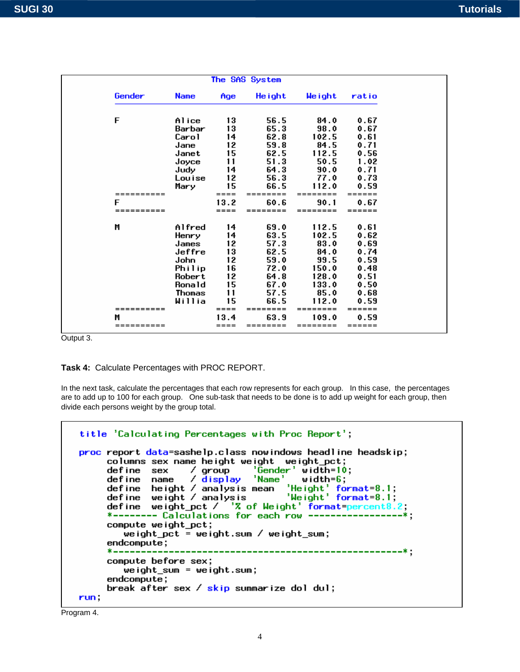|            |               |           | The SAS System |          |        |
|------------|---------------|-----------|----------------|----------|--------|
| Gender     | <b>Name</b>   | Age       | Height         | Weight   | ratio  |
| F          | Alice         | 13        | 56.5           | 84.0     | 0.67   |
|            | Barbar        | 13        | 65.3           | 98.0     | 0.67   |
|            | Carol         | 14        | 62.8           | 102.5    | 0.61   |
|            | Jane          | 12        | 59.8           | 84.5     | 0.71   |
|            | Janet         | 15        | 62.5           | 112.5    | 0.56   |
|            | Joyce         | 11        | 51.3           | 50.5     | 1.02   |
|            | Judy          | 14        | 64.3           | 90.0     | 0.71   |
|            | Louise        | 12        | 56.3           | 77.0     | 0.73   |
|            | Mary          | 15        | 66.5           | 112.0    | 0.59   |
| ========== |               | $== ==$   | ========       | ======== | ====== |
| F          |               | 13.2      | 60.6           | 90.1     | 0.67   |
| $======$   |               | $== == =$ |                |          |        |
| M          | Alfred        | 14        | 69.0           | 112.5    | 0.61   |
|            | Henry         | 14        | 63.5           | 102.5    | 0.62   |
|            | James         | 12        | 57.3           | 83.0     | 0.69   |
|            | Jeffre        | 13        | 62.5           | 84.0     | 0.74   |
|            | John          | 12        | 59.0           | 99.5     | 0.59   |
|            | Philip        | 16        | 72.0           | 150.0    | 0.48   |
|            | Robert        | 12        | 64.8           | 128.0    | 0.51   |
|            | Ronald        | 15        | 67.0           | 133.0    | 0.50   |
|            | <b>Thomas</b> | 11        | 57.5           | 85.0     | 0.68   |
|            | Willia        | 15        | 66.5           | 112.0    | 0.59   |
|            |               | $====$    |                |          | ====== |
| м          |               | 13.4      | 63.9           | 109.0    | 0.59   |
| ========== |               | ====      |                | ======== | ====== |

Output 3.

**Task 4:** Calculate Percentages with PROC REPORT.

In the next task, calculate the percentages that each row represents for each group. In this case, the percentages are to add up to 100 for each group. One sub-task that needs to be done is to add up weight for each group, then divide each persons weight by the group total.

```
title 'Calculating Percentages with Proc Report';
proc report data=sashelp.class nowindows headline headskip;
       report data-sasterp.class now moows head the headskip,<br>columns sex name height weight weight_pct;<br>define sex / group 'Gender' width=10;<br>define name / display 'Name' width=6;<br>define height / analysis mean 'Height' format=8
       *-------- Calculations for each row ----------
                                                                               -----*:
       compute weight_pct;
           weight pct = weight.sum / weight_sum;
       endcompute;----------*;
       compute before sex;
           weight\_sum = weight.sum;endcompute;break after sex / skip summarize dol dul;
run.
```
Program 4.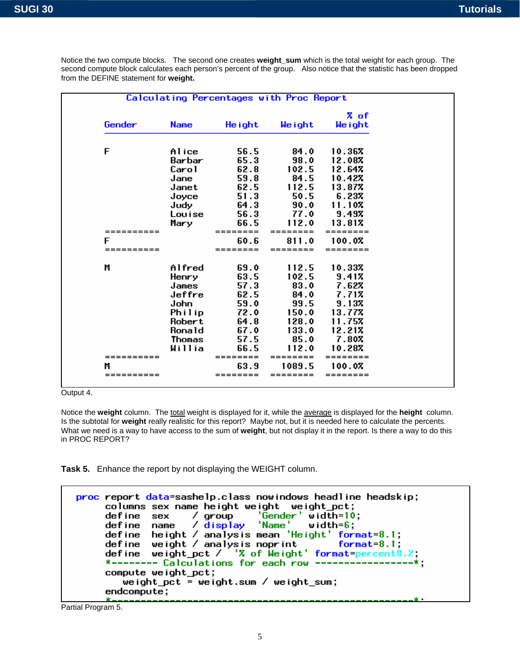|            |             |          |          | % of     |
|------------|-------------|----------|----------|----------|
| Gender     | <b>Name</b> | He ight  | Weight   | We ight  |
| F          | Alice       | 56.5     | 84.0     | 10.367   |
|            | Barbar      | 65.3     | 98.0     | 12.087   |
|            | Carol       | 62.8     | 102.5    | 12.647   |
|            | Jane        | 59.8     | 84.5     | 10.427   |
|            | Janet       | 62.5     | 112.5    | 13.877   |
|            | Joyce       | 51.3     | 50.5     | 6.237    |
|            | Judy        | 64.3     | 90.0     | 11.10%   |
|            | Louise      | 56.3     | 77.0     | 9.49%    |
|            | Mary        | 66.5     | 112.0    | 13.817   |
| ========== |             | =======  | ======== | ======== |
| F          |             | 60.6     | 811.0    | 100.07   |
| ========== |             | ======== | ======== | ======== |
| M          | Alfred      | 69.0     | 112.5    | 10.337   |
|            | Henry       | 63.5     | 102.5    | 9.417    |
|            | James       | 57.3     | 83.0     | 7.62%    |
|            | Jeffre      | 62.5     | 84.0     | 7.712    |
|            | John        | 59.0     | 99.5     | 9.137    |
|            | Philip      | 72.0     | 150.0    | 13.777   |
|            | Robert      | 64.8     | 128.0    | 11.757   |
|            | Ronald      | 67.0     | 133.0    | 12.21%   |
|            | Thomas      | 57.5     | 85.0     | 7.80%    |
|            | Willia      | 66.5     | 112.0    | 10.287   |
| ========== |             | ======== | ======== | ======== |
| M          |             | 63.9     | 1089.5   | 100.07   |
| ========== |             | ======== |          |          |

Notice the two compute blocks. The second one creates **weight\_sum** which is the total weight for each group. The second compute block calculates each person's percent of the group. Also notice that the statistic has been dropped from the DEFINE statement for **weight.**

Output 4.

Notice the **weight** column. The total weight is displayed for it, while the average is displayed for the **height** column. Is the subtotal for **weight** really realistic for this report? Maybe not, but it is needed here to calculate the percents. What we need is a way to have access to the sum of **weight**, but not display it in the report. Is there a way to do this in PROC REPORT?

**Task 5.** Enhance the report by not displaying the WEIGHT column.

```
proc report data=sashelp.class nowindows headline headskip;
     columns sex name height weight weight pct;
                      / group<br>/ <mark>display</mark>
                                  \frac{1}{2}Gender \frac{1}{2} width=10;
     define sex
                                  'Name'
     define name
                                            width = 6define height / analysis mean 'Height' format=8.1;
              weight / analysis mean in
                                                 format=8.1:
     define
             weight_pct / '7 of Weight' format=percent8
     define
     *------- Calculations for each row ---
     compute weight_pct;
        weight_pct = weight.sum / weight_sum;
     endcompute;
```
Partial Program 5.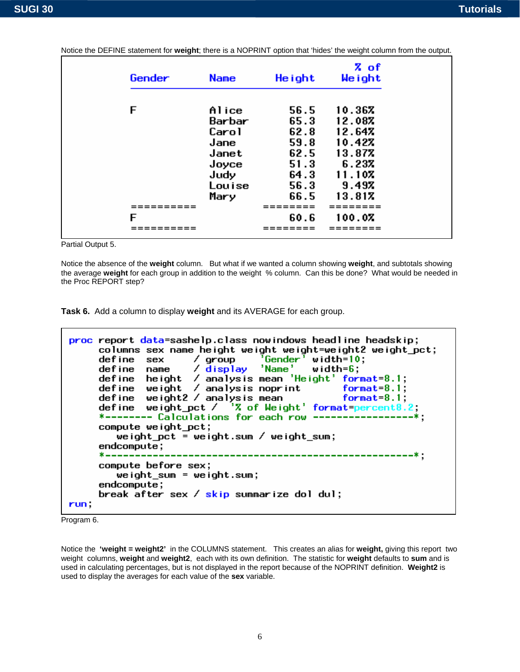| Gender   | <b>Name</b> | He ight  | <b>Z</b> of<br>Weight |
|----------|-------------|----------|-----------------------|
|          |             |          |                       |
| F        | Alice       | 56.5     | 10.367                |
|          | Barbar      | 65.3     | 12.08%                |
|          | Carol       | 62.8     | 12.64%                |
|          | Jane        | 59.8     | 10.427                |
|          | Janet       | 62.5     | 13.87%                |
|          | Joyce       | 51.3     | 6.237                 |
|          | Judy        | 64.3     | 11.10%                |
|          | Louise      | 56.3     | 9.497                 |
|          | Mary        | 66.5     | 13.817                |
| ======== |             | ======== | ========              |
| F        |             | 60.6     | 100.07                |
| ======   |             | ======   | ========              |

Notice the DEFINE statement for **weight**; there is a NOPRINT option that 'hides' the weight column from the output.

Partial Output 5.

Notice the absence of the **weight** column. But what if we wanted a column showing **weight**, and subtotals showing the average **weight** for each group in addition to the weight % column. Can this be done? What would be needed in the Proc REPORT step?

**Task 6.** Add a column to display **weight** and its AVERAGE for each group.

```
proc report data=sashelp.class nowindows headline headskip;
      columns sex name height weight weight=weight2 weight_pct;
                                         <sup>7</sup>Gender<sup>7</sup> width=10;<br>'Name' width=6;
      define sex
                          / group
      define name
                          \angle display
      define height / analysis mean 'Height' format=8.1;
      define weight / analysis noprint format=8.1;<br>define weight2 / analysis mean format=8.1;<br>define weight_pct / 'X of Weight' format=percent8.2;
      *------- Calculations for each row ------
      compute weight_pct;
          weight_pct = weight.sum / weight_sum;
      endcompute;
      * - - - - - - -------------------------------
      compute before sex;
          weight sum = weight.sum;
      endcompute;
      break after sex / skip summarize dol dul;
run,
```
Program 6.

Notice the **'weight = weight2'** in the COLUMNS statement. This creates an alias for **weight,** giving this report two weight columns, **weight** and **weight2**, each with its own definition. The statistic for **weight** defaults to **sum** and is used in calculating percentages, but is not displayed in the report because of the NOPRINT definition. **Weight2** is used to display the averages for each value of the **sex** variable.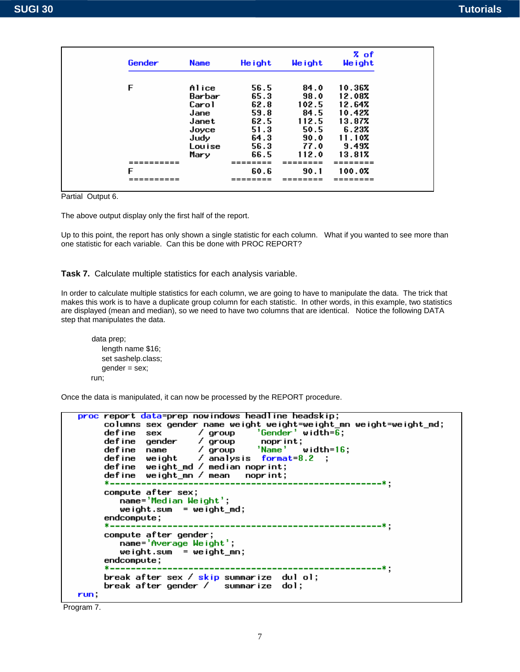| Gender | <b>Name</b> | He ight      | Weight        | <b>Z</b> of<br>Weight |
|--------|-------------|--------------|---------------|-----------------------|
| F      | Alice       | 56.5         | 84.0          | 10.367                |
|        | Barbar      | 65.3         | 98.0          | 12.087                |
|        | Carol       | 62.8         | 102.5         | 12.647                |
|        | Jane        | 59.8         | 84.5          | 10.42%                |
|        | Janet       | 62.5         | 112.5         | 13.87%                |
|        | Joyce       | 51.3         | 50.5          | 6.237                 |
|        | Judy        | 64.3         | 90.0          | 11.107                |
|        | Louise      | 56.3         | 77.0          | 9.497                 |
| F      | Mary        | 66.5<br>60.6 | 112.0<br>90.1 | 13.817<br>100.0%      |
|        |             |              | ====          |                       |

Partial Output 6.

The above output display only the first half of the report.

Up to this point, the report has only shown a single statistic for each column. What if you wanted to see more than one statistic for each variable. Can this be done with PROC REPORT?

**Task 7.** Calculate multiple statistics for each analysis variable.

In order to calculate multiple statistics for each column, we are going to have to manipulate the data. The trick that makes this work is to have a duplicate group column for each statistic. In other words, in this example, two statistics are displayed (mean and median), so we need to have two columns that are identical. Notice the following DATA step that manipulates the data.

```
 data prep; 
    length name $16; 
    set sashelp.class; 
    gender = sex; 
 run;
```
Once the data is manipulated, it can now be processed by the REPORT procedure.

```
proc report data=prep nowindows headline headskip;
     columns sex gender name weight weight=weight_mn weight=weight_md;
     define sex / group<br>define sex / group<br>define gender / group
                                    'Gender' width=\overline{6};
                                     noprint;
                      group<br>group
                                    'Name'
                                              width=16;define name
     define weight \sqrt{ } analysis format=8.2 ;
     define weight_md / median noprint;
     define weight_mn / mean moprint;
     *--------
                 compute after sex;
        name='Median Weight';
        weight.sum = weight_m d;endcompute;
                   compute after gender;
        name='Average Weight';
        weight.sum = weight_mn;
     endcompute;
                                                 . . . . . . . . . . . . . . . . . .
     break after sex / <mark>skip</mark> summarize dul ol;<br>break after gender / summarize dol;
run,
```
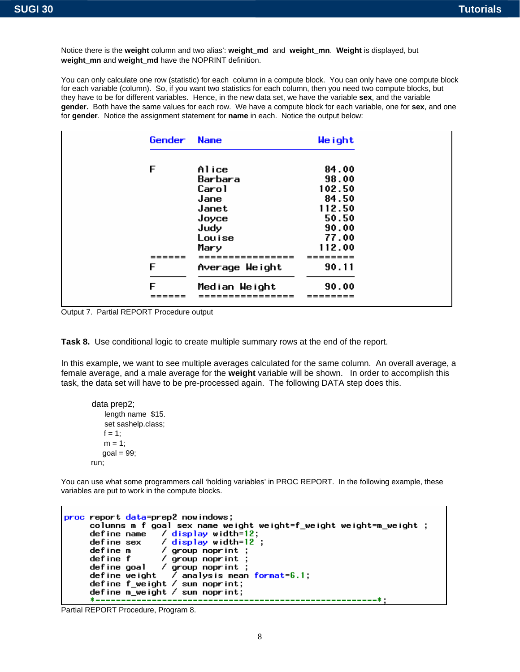Notice there is the **weight** column and two alias': **weight\_md** and **weight\_mn**. **Weight** is displayed, but **weight\_mn** and **weight\_md** have the NOPRINT definition.

You can only calculate one row (statistic) for each column in a compute block. You can only have one compute block for each variable (column). So, if you want two statistics for each column, then you need two compute blocks, but they have to be for different variables. Hence, in the new data set, we have the variable **sex**, and the variable **gender.** Both have the same values for each row. We have a compute block for each variable, one for **sex**, and one for **gender**. Notice the assignment statement for **name** in each. Notice the output below:

| Gender | <b>Name</b>    | Weight |
|--------|----------------|--------|
|        |                |        |
| F      | Alice          | 84.00  |
|        | Barbara        | 98.00  |
|        | Carol          | 102.50 |
|        | Jane           | 84.50  |
|        | Janet          | 112.50 |
|        | Joyce          | 50.50  |
|        | Judy           | 90.00  |
|        | Louise         | 77.00  |
|        | Mary           | 112.00 |
|        |                |        |
| F      | Average Weight | 90.11  |
| F      | Median Weight  | 90.00  |
|        |                | ------ |

Output 7. Partial REPORT Procedure output

**Task 8.** Use conditional logic to create multiple summary rows at the end of the report.

In this example, we want to see multiple averages calculated for the same column. An overall average, a female average, and a male average for the **weight** variable will be shown. In order to accomplish this task, the data set will have to be pre-processed again. The following DATA step does this.

```
 data prep2; 
     length name $15. 
     set sashelp.class; 
   f = 1;
    m = 1;
   goal = 99:
 run;
```
You can use what some programmers call 'holding variables' in PROC REPORT. In the following example, these variables are put to work in the compute blocks.

```
proc report data=prep2 nowindows;
       columns m f goal sex name weight weight=f_weight weight=m_weight ;
                            / display vidth=12;<br>/ display vidth=12;
       define name
       define sex
       define m
                            / group noprint ;
       define the state of the state of the state of the state of the state of the state of the state of the state of<br>define weight / analysis mean format=6.1;
       define f_weight / sum noprint;
       define m_weight / sum noprint;
       * - - - - -
```
Partial REPORT Procedure, Program 8.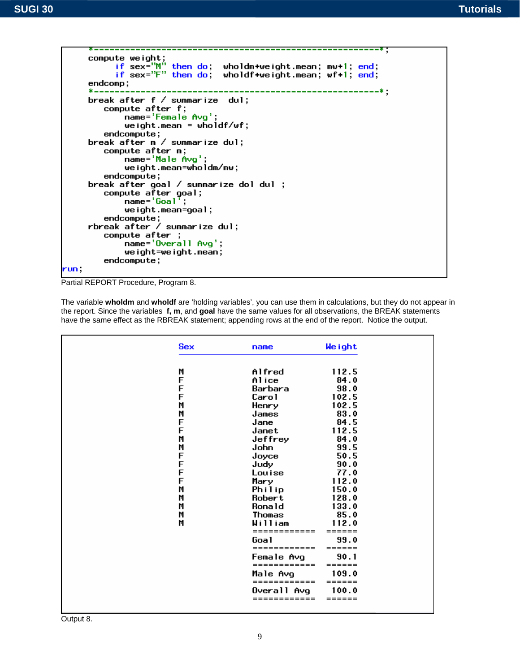$\overline{\phantom{a}}$ 



Partial REPORT Procedure, Program 8.

The variable **wholdm** and **wholdf** are 'holding variables', you can use them in calculations, but they do not appear in the report. Since the variables **f, m**, and **goal** have the same values for all observations, the BREAK statements have the same effect as the RBREAK statement; appending rows at the end of the report. Notice the output.

| <b>Sex</b> | name           | Weight |
|------------|----------------|--------|
| M          | Alfred         | 112.5  |
| F          | Alice          | 84.0   |
| F          | Barbara        | 98.0   |
| F          | Carol          | 102.5  |
| M          | Henry          | 102.5  |
| M          | James          | 83.0   |
| F          | Jane           | 84.5   |
| F          | Janet          | 112.5  |
| M          | Jeffrey        | 84.0   |
| M          | John           | 99.5   |
| F          | Joyce          | 50.5   |
|            | Judy           | 90.0   |
| F<br>F     | Louise         | 77.0   |
| F          | Mary           | 112.0  |
| M          | Philip         | 150.0  |
| M          | Robert         | 128.0  |
| M          | Ronald         | 133.0  |
| M          | Thomas         | 85.0   |
| M          | William        | 112.0  |
|            |                | ====== |
|            | Goal           | 99.0   |
|            | ============   | ====== |
|            | Female Avg     | 90.1   |
|            | ============   | ====== |
|            | Male Avq       | 109.0  |
|            | ======         | ====== |
|            | Overall<br>Ava | 100.0  |
|            | ------         | ------ |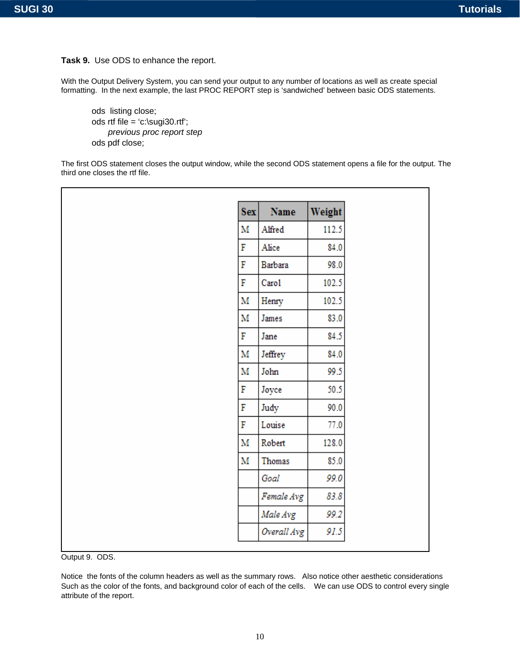**Task 9.** Use ODS to enhance the report.

With the Output Delivery System, you can send your output to any number of locations as well as create special formatting. In the next example, the last PROC REPORT step is 'sandwiched' between basic ODS statements.

ods listing close; ods rtf file = 'c:\sugi30.rtf'; *previous proc report step*  ods pdf close;

The first ODS statement closes the output window, while the second ODS statement opens a file for the output. The third one closes the rtf file.

| <b>Sex</b> | Name        | Weight |
|------------|-------------|--------|
| M          | Alfred      | 112.5  |
| F          | Alice       | 84.0   |
| F          | Barbara     | 98.0   |
| F          | Caro1       | 102.5  |
| M          | Henry       | 102.5  |
| M          | James       | 83.0   |
| F          | Jane        | 84.5   |
| M          | Jeffrey     | 84.0   |
| M          | John        | 99.5   |
| F          | Joyce       | 50.5   |
| F          | Judy        | 90.0   |
| F          | Louise      | 77.0   |
| M          | Robert      | 128.0  |
| M          | Thomas      | 85.0   |
|            | Goal        | 99.0   |
|            | Female Avg  | 83.8   |
|            | Male Avg    | 99.2   |
|            | Overall Avg | 91.5   |

Output 9. ODS.

Notice the fonts of the column headers as well as the summary rows. Also notice other aesthetic considerations Such as the color of the fonts, and background color of each of the cells. We can use ODS to control every single attribute of the report.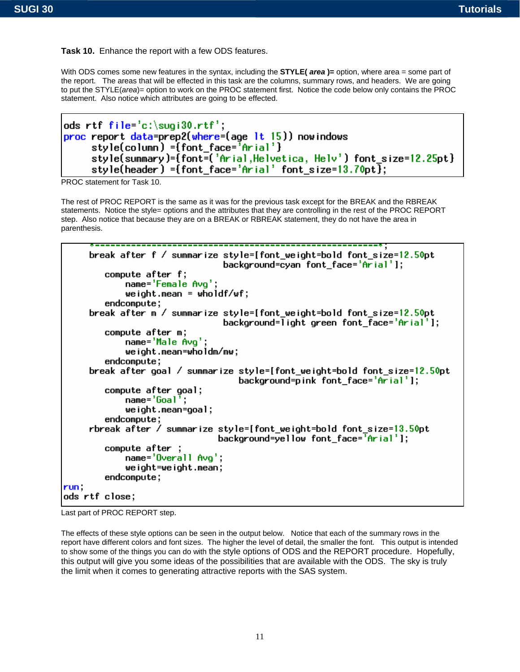**Task 10.** Enhance the report with a few ODS features.

With ODS comes some new features in the syntax, including the **STYLE(** *area* )= option, where area = some part of the report. The areas that will be effected in this task are the columns, summary rows, and headers. We are going to put the STYLE(*area*)= option to work on the PROC statement first. Notice the code below only contains the PROC statement. Also notice which attributes are going to be effected.

```
ods rtf file='c:\sugi30.rtf';proc report data=prep2(where=(age 1t 15)) nowindows
     style(column) ={font_face='Arial'}
     style(summary)={font=('Arial,Helvetica, Helv') font_size=12.25pt}
     style(header) ={font_face='Arial' font_size=13.70pt \overline{\mathbf{j}};
```
PROC statement for Task 10.

The rest of PROC REPORT is the same as it was for the previous task except for the BREAK and the RBREAK statements. Notice the style= options and the attributes that they are controlling in the rest of the PROC REPORT step. Also notice that because they are on a BREAK or RBREAK statement, they do not have the area in parenthesis.

```
break after f / summarize style=[font_weight=bold_font_size=12.50pt
                                background=cyan font face='Arial'];
        compute after f;
            name='Female Avq';
            weight.mean = wholdf/wf;
        endcompute;
     break after m / summarize style=[font_weight=bold_font_size=12.50pt
                                background=light green font face='Arial'];
        compute after m;
            name='Male Avg';
            weight.mean=wholdm/mw;
        endcompute;
     break after goal / summarize style=[font_weight=bold_font_size=12.50pt
                                   background=pink font face='Arial'];
        compute after goal;
            name=^{1}Goal<sup>7</sup>;
            weight.mean=goal;
        endcompute;
     rbreak after / summarize style=[font_weight=bold font_size=13.50pt
                               background=yellow font_face='Arial'];
        compute after ;
            name='Overall Avg';
            weight=weight.mean;
        endcompute;
run.
ods rtf close;
```


The effects of these style options can be seen in the output below. Notice that each of the summary rows in the report have different colors and font sizes. The higher the level of detail, the smaller the font. This output is intended to show some of the things you can do with the style options of ODS and the REPORT procedure. Hopefully, this output will give you some ideas of the possibilities that are available with the ODS. The sky is truly the limit when it comes to generating attractive reports with the SAS system.